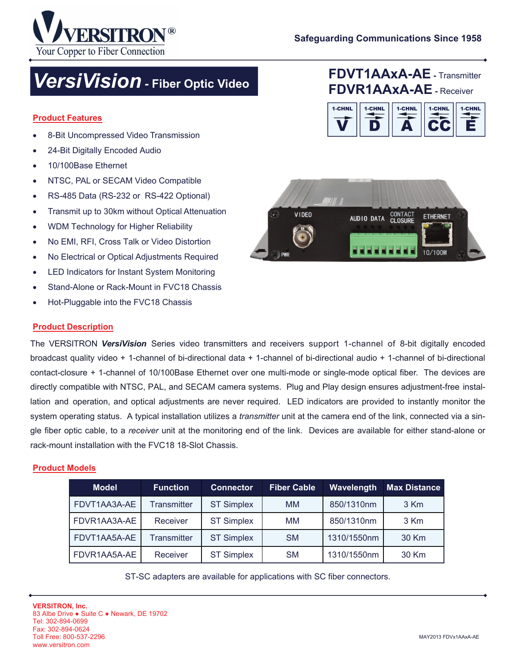



# *VersiVision -* **Fiber Optic Video**

#### **Product Features**

- 8-Bit Uncompressed Video Transmission
- 24-Bit Digitally Encoded Audio
- 10/100Base Ethernet
- NTSC, PAL or SECAM Video Compatible
- RS-485 Data (RS-232 or RS-422 Optional)
- Transmit up to 30km without Optical Attenuation
- WDM Technology for Higher Reliability
- No EMI, RFI, Cross Talk or Video Distortion
- No Electrical or Optical Adjustments Required
- LED Indicators for Instant System Monitoring
- Stand-Alone or Rack-Mount in FVC18 Chassis
- Hot-Pluggable into the FVC18 Chassis







#### **Product Description**

The VERSITRON *VersiVision* Series video transmitters and receivers support 1-channel of 8-bit digitally encoded broadcast quality video + 1-channel of bi-directional data + 1-channel of bi-directional audio + 1-channel of bi-directional contact-closure + 1-channel of 10/100Base Ethernet over one multi-mode or single-mode optical fiber. The devices are directly compatible with NTSC, PAL, and SECAM camera systems. Plug and Play design ensures adjustment-free installation and operation, and optical adjustments are never required. LED indicators are provided to instantly monitor the system operating status. A typical installation utilizes a *transmitter* unit at the camera end of the link, connected via a single fiber optic cable, to a *receiver* unit at the monitoring end of the link. Devices are available for either stand-alone or rack-mount installation with the FVC18 18-Slot Chassis.

#### **Product Models**

| <b>Model</b> | <b>Function</b>    | <b>Connector</b>  | <b>Fiber Cable</b> | Wavelength  | <b>Max Distance</b> |
|--------------|--------------------|-------------------|--------------------|-------------|---------------------|
| FDVT1AA3A-AE | <b>Transmitter</b> | <b>ST Simplex</b> | <b>MM</b>          | 850/1310nm  | 3 Km                |
| FDVR1AA3A-AE | Receiver           | <b>ST Simplex</b> | MM                 | 850/1310nm  | 3 Km                |
| FDVT1AA5A-AE | <b>Transmitter</b> | <b>ST Simplex</b> | <b>SM</b>          | 1310/1550nm | 30 Km               |
| FDVR1AA5A-AE | Receiver           | <b>ST Simplex</b> | <b>SM</b>          | 1310/1550nm | 30 Km               |

ST-SC adapters are available for applications with SC fiber connectors.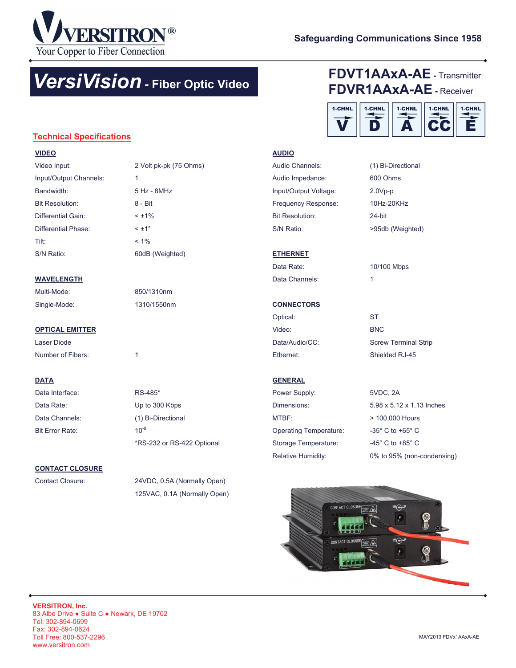

# *VersiVision -* **Fiber Optic Video**

## **FDVT1AAxA-AE -** Transmitter **FDVR1AAxA-AE -** Receiver



### **Technical Specifications**

| <b>VIDEO</b>           |                        |
|------------------------|------------------------|
| Video Input:           | 2 Volt pk-pk (75 Ohms) |
| Input/Output Channels: | 1                      |
| Bandwidth <sup>-</sup> | $5$ Hz - $8$ MHz       |
| <b>Bit Resolution:</b> | 8 - Bit                |
| Differential Gain:     | $< +1\%$               |
| Differential Phase:    | $\leq \pm 1^{\circ}$   |
| Tilt:                  | $< 1\%$                |

S/N Ratio: 60dB (Weighted)

#### **WAVELENGTH**

Multi-Mode: 850/1310nm Single-Mode: 1310/1550nm

#### **OPTICAL EMITTER**

Laser Diode Number of Fibers: 1

#### **DATA**

Data Interface: RS-485\* Data Rate: Up to 300 Kbps Data Channels: (1) Bi-Directional Bit Error Rate: 10<sup>-9</sup>

# \*RS-232 or RS-422 Optional

#### **CONTACT CLOSURE**

Contact Closure: 24VDC, 0.5A (Normally Open) 125VAC, 0.1A (Normally Open)

#### **AUDIO**

| Audio Channels:        | (1) Bi-Directional |
|------------------------|--------------------|
| Audio Impedance:       | 600 Ohms           |
| Input/Output Voltage:  | $2.0Vp-p$          |
| Frequency Response:    | 10Hz-20KHz         |
| <b>Bit Resolution:</b> | 24-bit             |
| S/N Ratio:             | >95db (Weighted)   |
|                        |                    |

#### **ETHERNET**

Data Rate: 10/100 Mbps Data Channels: 1

## **CONNECTORS**

| ST                          |
|-----------------------------|
| <b>BNC</b>                  |
| <b>Screw Terminal Strip</b> |
| Shielded RJ-45              |
|                             |

#### **GENERAL**

| Power Supply:                 | 5VDC. 2A                           |
|-------------------------------|------------------------------------|
| Dimensions:                   | 5.98 x 5.12 x 1.13 Inches          |
| MTBF:                         | > 100,000 Hours                    |
| <b>Operating Temperature:</b> | $-35^\circ$ C to $+65^\circ$ C     |
| Storage Temperature:          | $-45^{\circ}$ C to $+85^{\circ}$ C |
| <b>Relative Humidity:</b>     | 0% to 95% (non-condensing)         |